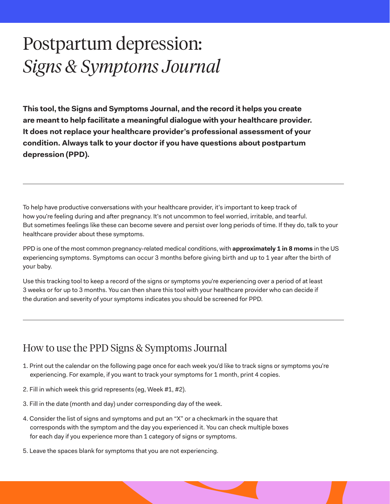## Postpartum depression: *Signs & Symptoms Journal*

**This tool, the Signs and Symptoms Journal, and the record it helps you create are meant to help facilitate a meaningful dialogue with your healthcare provider. It does not replace your healthcare provider's professional assessment of your condition. Always talk to your doctor if you have questions about postpartum depression (PPD).**

To help have productive conversations with your healthcare provider, it's important to keep track of how you're feeling during and after pregnancy. It's not uncommon to feel worried, irritable, and tearful. But sometimes feelings like these can become severe and persist over long periods of time. If they do, talk to your healthcare provider about these symptoms.

PPD is one of the most common pregnancy-related medical conditions, with **approximately 1 in 8 moms** in the US experiencing symptoms. Symptoms can occur 3 months before giving birth and up to 1 year after the birth of your baby.

Use this tracking tool to keep a record of the signs or symptoms you're experiencing over a period of at least 3 weeks or for up to 3 months. You can then share this tool with your healthcare provider who can decide if the duration and severity of your symptoms indicates you should be screened for PPD.

## How to use the PPD Signs & Symptoms Journal

- 1. Print out the calendar on the following page once for each week you'd like to track signs or symptoms you're experiencing. For example, if you want to track your symptoms for 1 month, print 4 copies.
- 2. Fill in which week this grid represents (eg, Week #1, #2).
- 3. Fill in the date (month and day) under corresponding day of the week.
- 4. Consider the list of signs and symptoms and put an "X" or a checkmark in the square that corresponds with the symptom and the day you experienced it. You can check multiple boxes for each day if you experience more than 1 category of signs or symptoms.
- 5. Leave the spaces blank for symptoms that you are not experiencing.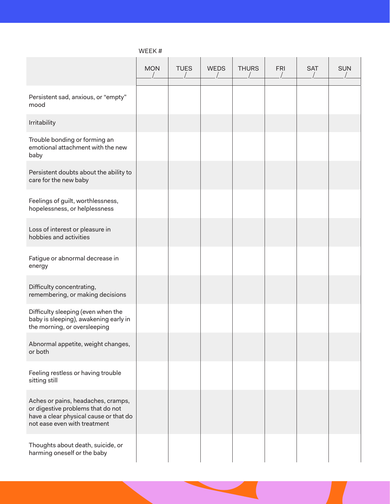|                                                                                                                                                   | <b>MON</b> | <b>TUES</b> | <b>WEDS</b> | <b>THURS</b> | <b>FRI</b> | <b>SAT</b> | <b>SUN</b> |
|---------------------------------------------------------------------------------------------------------------------------------------------------|------------|-------------|-------------|--------------|------------|------------|------------|
| Persistent sad, anxious, or "empty"<br>mood                                                                                                       |            |             |             |              |            |            |            |
| Irritability                                                                                                                                      |            |             |             |              |            |            |            |
| Trouble bonding or forming an<br>emotional attachment with the new<br>baby                                                                        |            |             |             |              |            |            |            |
| Persistent doubts about the ability to<br>care for the new baby                                                                                   |            |             |             |              |            |            |            |
| Feelings of guilt, worthlessness,<br>hopelessness, or helplessness                                                                                |            |             |             |              |            |            |            |
| Loss of interest or pleasure in<br>hobbies and activities                                                                                         |            |             |             |              |            |            |            |
| Fatigue or abnormal decrease in<br>energy                                                                                                         |            |             |             |              |            |            |            |
| Difficulty concentrating,<br>remembering, or making decisions                                                                                     |            |             |             |              |            |            |            |
| Difficulty sleeping (even when the<br>baby is sleeping), awakening early in<br>the morning, or oversleeping                                       |            |             |             |              |            |            |            |
| Abnormal appetite, weight changes,<br>or both                                                                                                     |            |             |             |              |            |            |            |
| Feeling restless or having trouble<br>sitting still                                                                                               |            |             |             |              |            |            |            |
| Aches or pains, headaches, cramps,<br>or digestive problems that do not<br>have a clear physical cause or that do<br>not ease even with treatment |            |             |             |              |            |            |            |
| Thoughts about death, suicide, or<br>harming oneself or the baby                                                                                  |            |             |             |              |            |            |            |

## WEEK #